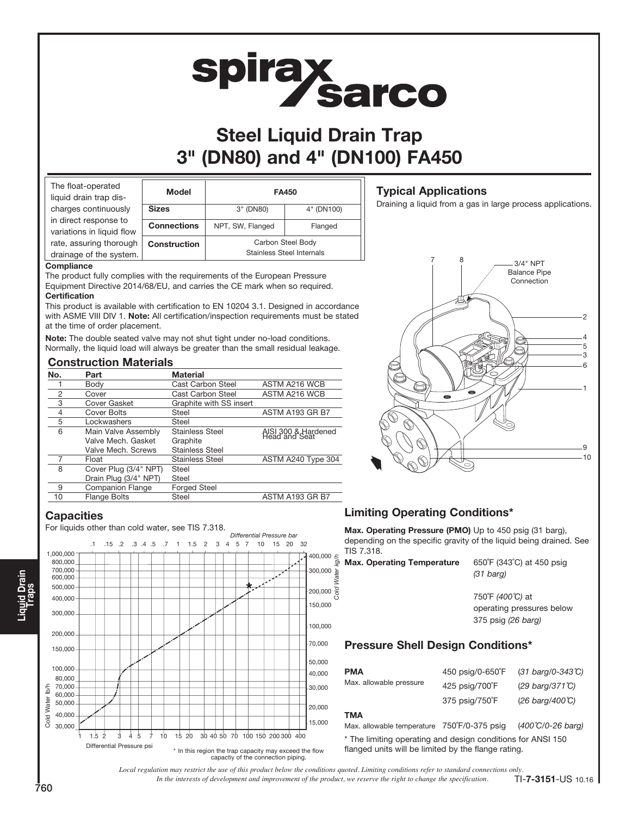# **spirax<br>Sarco**

# Steel Liquid Drain Trap 3" (DN80) and 4" (DN100) FA450

| The float-operated<br>liquid drain trap dis-       | <b>Model</b>        |                                                | <b>FA450</b> |
|----------------------------------------------------|---------------------|------------------------------------------------|--------------|
| charges continuously                               | <b>Sizes</b>        | 3" (DN80)                                      | 4" (DN100)   |
| in direct response to<br>variations in liquid flow | <b>Connections</b>  | NPT, SW, Flanged                               | Flanged      |
| rate, assuring thorough<br>drainage of the system. | <b>Construction</b> | Carbon Steel Body<br>Stainless Steel Internals |              |

#### **Compliance**

The product fully complies with the requirements of the European Pressure Equipment Directive 2014/68/EU, and carries the CE mark when so required. **Certification** 

This product is available with certification to EN 10204 3.1. Designed in accordance with ASME VIII DIV 1. Note: All certification/inspection requirements must be stated at the time of order placement.

Note: The double seated valve may not shut tight under no-load conditions. Normally, the liquid load will always be greater than the small residual leakage.

#### Construction Materials

| No. | Part                    | <b>Material</b>          |                                      |
|-----|-------------------------|--------------------------|--------------------------------------|
|     | Body                    | Cast Carbon Steel        | ASTM A216 WCB                        |
| 2   | Cover                   | <b>Cast Carbon Steel</b> | ASTM A216 WCB                        |
| 3   | Cover Gasket            | Graphite with SS insert  |                                      |
| 4   | Cover Bolts             | Steel                    | ASTM A193 GR B7                      |
| 5   | Lockwashers             | Steel                    |                                      |
| 6   | Main Valve Assembly     | <b>Stainless Steel</b>   | AISI 300 & Hardened<br>Head and Seat |
|     | Valve Mech. Gasket      | Graphite                 |                                      |
|     | Valve Mech. Screws      | <b>Stainless Steel</b>   |                                      |
|     | Float                   | <b>Stainless Steel</b>   | ASTM A240 Type 304                   |
| 8   | Cover Plug (3/4" NPT)   | <b>Steel</b>             |                                      |
|     | Drain Plug (3/4" NPT)   | Steel                    |                                      |
| 9   | <b>Companion Flange</b> | <b>Forged Steel</b>      |                                      |
| 10  | <b>Flange Bolts</b>     | Steel                    | ASTM A193 GR B7                      |
|     |                         |                          |                                      |

#### **Capacities**

For liquids other than cold water, see TIS 7.318.



### Typical Applications

Draining a liquid from a gas in large process applications.



## Limiting Operating Conditions\*

Max. Operating Pressure (PMO) Up to 450 psig (31 barg), depending on the specific gravity of the liquid being drained. See TIS 7.318.

| <b>Max. Operating Temperature</b> | 650°F (343°C) at 450 psig<br>$(31 \text{ bara})$ |
|-----------------------------------|--------------------------------------------------|
|                                   | $7E0^{\circ}F(100^{\circ}C)$                     |

750˚F (400˚C) at operating pressures below 375 psig (26 barg)

#### Pressure Shell Design Conditions\*

| <b>PMA</b>              | 450 psig/0-650°F | $(31 \text{ barg}/0 - 343 \text{°C})$ |
|-------------------------|------------------|---------------------------------------|
| Max. allowable pressure | 425 psig/700°F   | $(29 \text{ barg}/371 \text{°C})$     |
|                         | 375 psig/750°F   | $(26 \text{ barg}/400 \text{°C})$     |

#### **TMA**

Cold Water kg/h

ater

Max. allowable temperature 750°F/0-375 psig (400°C/0-26 barg) \* The limiting operating and design conditions for ANSI 150 flanged units will be limited by the flange rating.

*In the interests of development and improvement of the product, we reserve the right to change the specification. Local regulation may restrict the use of this product below the conditions quoted. Limiting conditions refer to standard connections only.* TI-7-3151-US 10.16